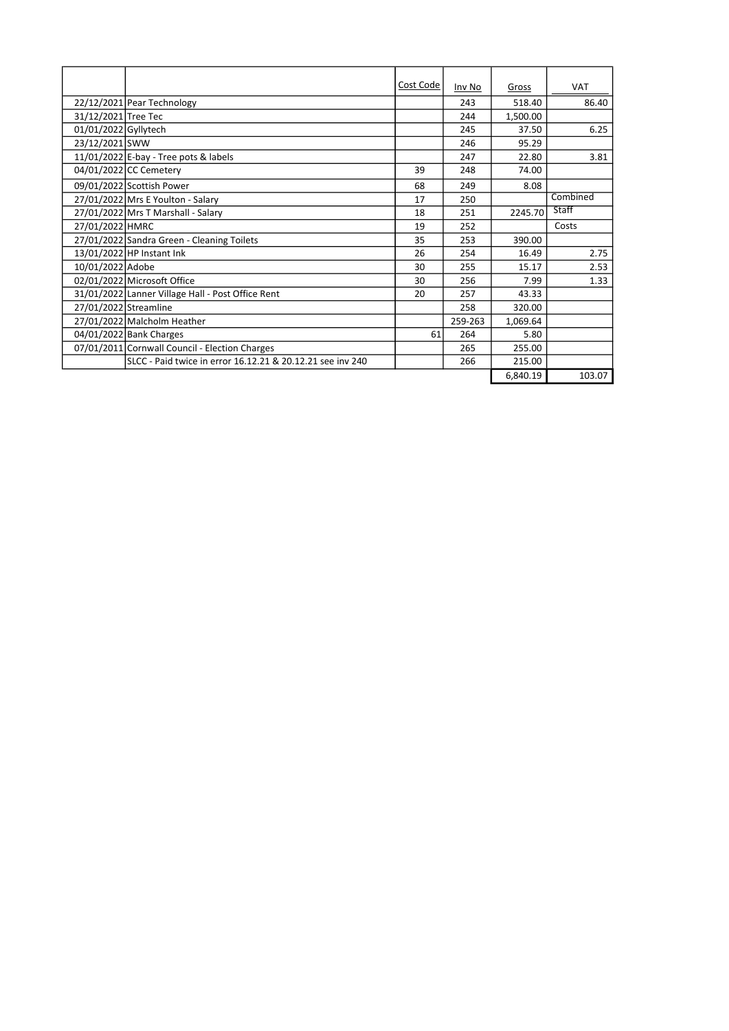|                       |                                                            | Cost Code | Inv No  | Gross    | <b>VAT</b> |
|-----------------------|------------------------------------------------------------|-----------|---------|----------|------------|
|                       | 22/12/2021 Pear Technology                                 |           | 243     | 518.40   | 86.40      |
| 31/12/2021 Tree Tec   |                                                            |           | 244     | 1,500.00 |            |
| 01/01/2022 Gyllytech  |                                                            |           | 245     | 37.50    | 6.25       |
| 23/12/2021 SWW        |                                                            |           | 246     | 95.29    |            |
|                       | 11/01/2022 E-bay - Tree pots & labels                      |           | 247     | 22.80    | 3.81       |
|                       | 04/01/2022 CC Cemetery                                     | 39        | 248     | 74.00    |            |
|                       | 09/01/2022 Scottish Power                                  | 68        | 249     | 8.08     |            |
|                       | 27/01/2022 Mrs E Youlton - Salary                          | 17        | 250     |          | Combined   |
|                       | 27/01/2022 Mrs T Marshall - Salary                         | 18        | 251     | 2245.70  | Staff      |
| 27/01/2022 HMRC       |                                                            | 19        | 252     |          | Costs      |
|                       | 27/01/2022 Sandra Green - Cleaning Toilets                 | 35        | 253     | 390.00   |            |
|                       | 13/01/2022 HP Instant Ink                                  | 26        | 254     | 16.49    | 2.75       |
| 10/01/2022 Adobe      |                                                            | 30        | 255     | 15.17    | 2.53       |
|                       | 02/01/2022 Microsoft Office                                | 30        | 256     | 7.99     | 1.33       |
|                       | 31/01/2022 Lanner Village Hall - Post Office Rent          | 20        | 257     | 43.33    |            |
| 27/01/2022 Streamline |                                                            |           | 258     | 320.00   |            |
|                       | 27/01/2022 Malcholm Heather                                |           | 259-263 | 1,069.64 |            |
|                       | 04/01/2022 Bank Charges                                    | 61        | 264     | 5.80     |            |
|                       | 07/01/2011 Cornwall Council - Election Charges             |           | 265     | 255.00   |            |
|                       | SLCC - Paid twice in error 16.12.21 & 20.12.21 see inv 240 |           | 266     | 215.00   |            |
|                       |                                                            |           |         | 6,840.19 | 103.07     |